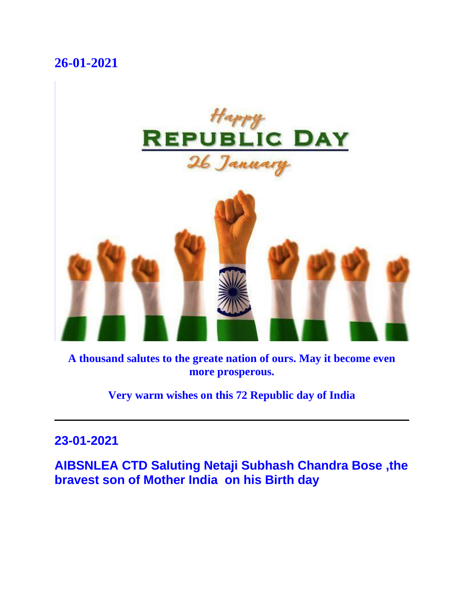# **26-01-2021**



**A thousand salutes to the greate nation of ours. May it become even more prosperous.**

**Very warm wishes on this 72 Republic day of India**

### **23-01-2021**

**AIBSNLEA CTD Saluting Netaji Subhash Chandra Bose ,the bravest son of Mother India on his Birth day**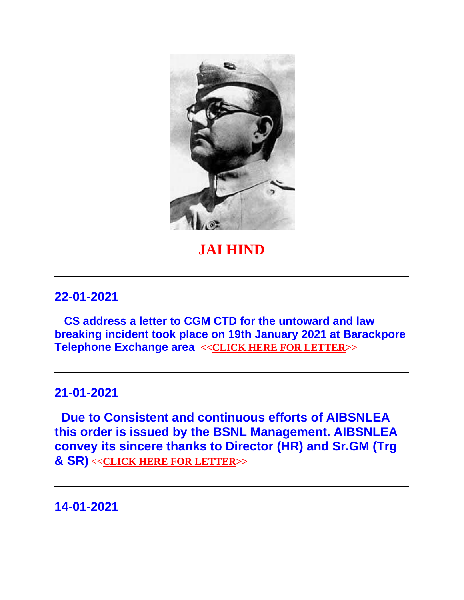

# **JAI HIND**

#### **22-01-2021**

**CS address a letter to CGM CTD for the untoward and law breaking incident took place on 19th January 2021 at Barackpore Telephone Exchange area <[<CLICK HERE FOR LETTER>](http://aibsnleawb.org/AIBSNLEA.pdf)>**

#### **21-01-2021**

**Due to Consistent and continuous efforts of AIBSNLEA this order is issued by the BSNL Management. AIBSNLEA convey its sincere thanks to Director (HR) and Sr.GM (Trg & SR) <[<CLICK HERE FOR LETTER>](http://aibsnleawb.org/postponement%20of%20offline%20trainings.pdf)>**

**14-01-2021**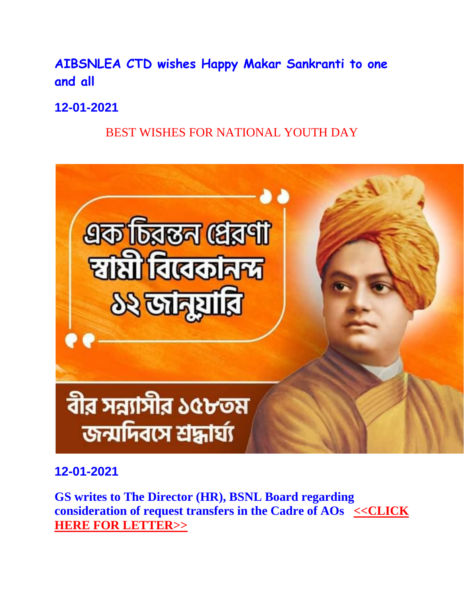# **AIBSNLEA CTD wishes Happy Makar Sankranti to one and all**

**12-01-2021**

BEST WISHES FOR NATIONAL YOUTH DAY



**12-01-2021**

**GS writes to The Director (HR), BSNL Board regarding consideration of request transfers in the Cadre of AOs**  $\leq$ **CLICK [HERE FOR LETTER>>](http://aibsnleawb.org/Lr%20to%20Dir(HR)%20AO%20Transfer%201201.docx)**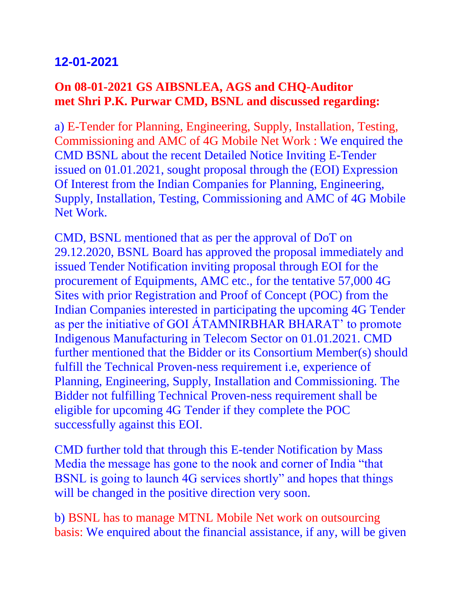# **12-01-2021**

### **On 08-01-2021 GS AIBSNLEA, AGS and CHQ-Auditor met Shri P.K. Purwar CMD, BSNL and discussed regarding:**

a) E-Tender for Planning, Engineering, Supply, Installation, Testing, Commissioning and AMC of 4G Mobile Net Work : We enquired the CMD BSNL about the recent Detailed Notice Inviting E-Tender issued on 01.01.2021, sought proposal through the (EOI) Expression Of Interest from the Indian Companies for Planning, Engineering, Supply, Installation, Testing, Commissioning and AMC of 4G Mobile Net Work.

CMD, BSNL mentioned that as per the approval of DoT on 29.12.2020, BSNL Board has approved the proposal immediately and issued Tender Notification inviting proposal through EOI for the procurement of Equipments, AMC etc., for the tentative 57,000 4G Sites with prior Registration and Proof of Concept (POC) from the Indian Companies interested in participating the upcoming 4G Tender as per the initiative of GOI ÁTAMNIRBHAR BHARAT' to promote Indigenous Manufacturing in Telecom Sector on 01.01.2021. CMD further mentioned that the Bidder or its Consortium Member(s) should fulfill the Technical Proven-ness requirement i.e, experience of Planning, Engineering, Supply, Installation and Commissioning. The Bidder not fulfilling Technical Proven-ness requirement shall be eligible for upcoming 4G Tender if they complete the POC successfully against this EOI.

CMD further told that through this E-tender Notification by Mass Media the message has gone to the nook and corner of India "that BSNL is going to launch 4G services shortly" and hopes that things will be changed in the positive direction very soon.

b) BSNL has to manage MTNL Mobile Net work on outsourcing basis: We enquired about the financial assistance, if any, will be given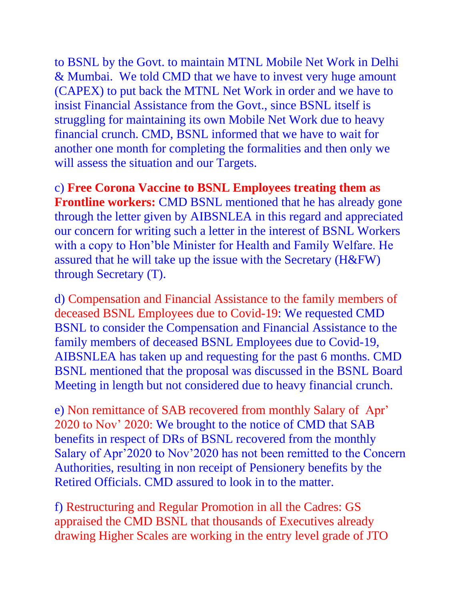to BSNL by the Govt. to maintain MTNL Mobile Net Work in Delhi & Mumbai. We told CMD that we have to invest very huge amount (CAPEX) to put back the MTNL Net Work in order and we have to insist Financial Assistance from the Govt., since BSNL itself is struggling for maintaining its own Mobile Net Work due to heavy financial crunch. CMD, BSNL informed that we have to wait for another one month for completing the formalities and then only we will assess the situation and our Targets.

c) **Free Corona Vaccine to BSNL Employees treating them as Frontline workers:** CMD BSNL mentioned that he has already gone through the letter given by AIBSNLEA in this regard and appreciated our concern for writing such a letter in the interest of BSNL Workers with a copy to Hon'ble Minister for Health and Family Welfare. He assured that he will take up the issue with the Secretary (H&FW) through Secretary (T).

d) Compensation and Financial Assistance to the family members of deceased BSNL Employees due to Covid-19: We requested CMD BSNL to consider the Compensation and Financial Assistance to the family members of deceased BSNL Employees due to Covid-19, AIBSNLEA has taken up and requesting for the past 6 months. CMD BSNL mentioned that the proposal was discussed in the BSNL Board Meeting in length but not considered due to heavy financial crunch.

e) Non remittance of SAB recovered from monthly Salary of Apr' 2020 to Nov' 2020: We brought to the notice of CMD that SAB benefits in respect of DRs of BSNL recovered from the monthly Salary of Apr'2020 to Nov'2020 has not been remitted to the Concern Authorities, resulting in non receipt of Pensionery benefits by the Retired Officials. CMD assured to look in to the matter.

f) Restructuring and Regular Promotion in all the Cadres: GS appraised the CMD BSNL that thousands of Executives already drawing Higher Scales are working in the entry level grade of JTO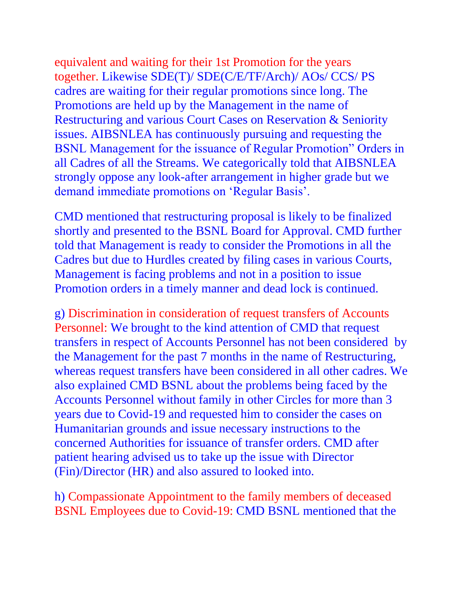equivalent and waiting for their 1st Promotion for the years together. Likewise SDE(T)/ SDE(C/E/TF/Arch)/ AOs/ CCS/ PS cadres are waiting for their regular promotions since long. The Promotions are held up by the Management in the name of Restructuring and various Court Cases on Reservation & Seniority issues. AIBSNLEA has continuously pursuing and requesting the BSNL Management for the issuance of Regular Promotion" Orders in all Cadres of all the Streams. We categorically told that AIBSNLEA strongly oppose any look-after arrangement in higher grade but we demand immediate promotions on 'Regular Basis'.

CMD mentioned that restructuring proposal is likely to be finalized shortly and presented to the BSNL Board for Approval. CMD further told that Management is ready to consider the Promotions in all the Cadres but due to Hurdles created by filing cases in various Courts, Management is facing problems and not in a position to issue Promotion orders in a timely manner and dead lock is continued.

g) Discrimination in consideration of request transfers of Accounts Personnel: We brought to the kind attention of CMD that request transfers in respect of Accounts Personnel has not been considered by the Management for the past 7 months in the name of Restructuring, whereas request transfers have been considered in all other cadres. We also explained CMD BSNL about the problems being faced by the Accounts Personnel without family in other Circles for more than 3 years due to Covid-19 and requested him to consider the cases on Humanitarian grounds and issue necessary instructions to the concerned Authorities for issuance of transfer orders. CMD after patient hearing advised us to take up the issue with Director (Fin)/Director (HR) and also assured to looked into.

h) Compassionate Appointment to the family members of deceased BSNL Employees due to Covid-19: CMD BSNL mentioned that the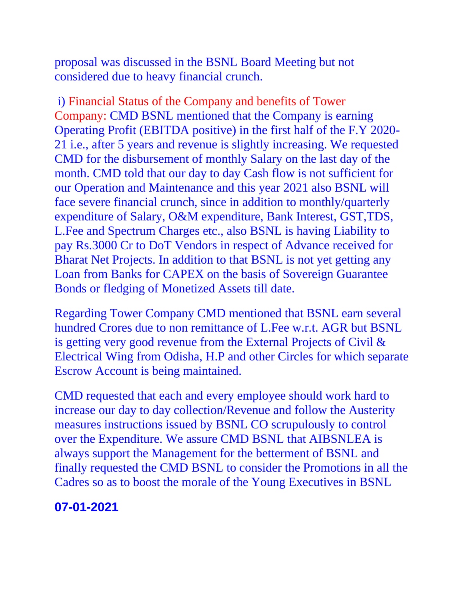proposal was discussed in the BSNL Board Meeting but not considered due to heavy financial crunch.

i) Financial Status of the Company and benefits of Tower Company: CMD BSNL mentioned that the Company is earning Operating Profit (EBITDA positive) in the first half of the F.Y 2020- 21 i.e., after 5 years and revenue is slightly increasing. We requested CMD for the disbursement of monthly Salary on the last day of the month. CMD told that our day to day Cash flow is not sufficient for our Operation and Maintenance and this year 2021 also BSNL will face severe financial crunch, since in addition to monthly/quarterly expenditure of Salary, O&M expenditure, Bank Interest, GST,TDS, L.Fee and Spectrum Charges etc., also BSNL is having Liability to pay Rs.3000 Cr to DoT Vendors in respect of Advance received for Bharat Net Projects. In addition to that BSNL is not yet getting any Loan from Banks for CAPEX on the basis of Sovereign Guarantee Bonds or fledging of Monetized Assets till date.

Regarding Tower Company CMD mentioned that BSNL earn several hundred Crores due to non remittance of L.Fee w.r.t. AGR but BSNL is getting very good revenue from the External Projects of Civil & Electrical Wing from Odisha, H.P and other Circles for which separate Escrow Account is being maintained.

CMD requested that each and every employee should work hard to increase our day to day collection/Revenue and follow the Austerity measures instructions issued by BSNL CO scrupulously to control over the Expenditure. We assure CMD BSNL that AIBSNLEA is always support the Management for the betterment of BSNL and finally requested the CMD BSNL to consider the Promotions in all the Cadres so as to boost the morale of the Young Executives in BSNL

### **07-01-2021**